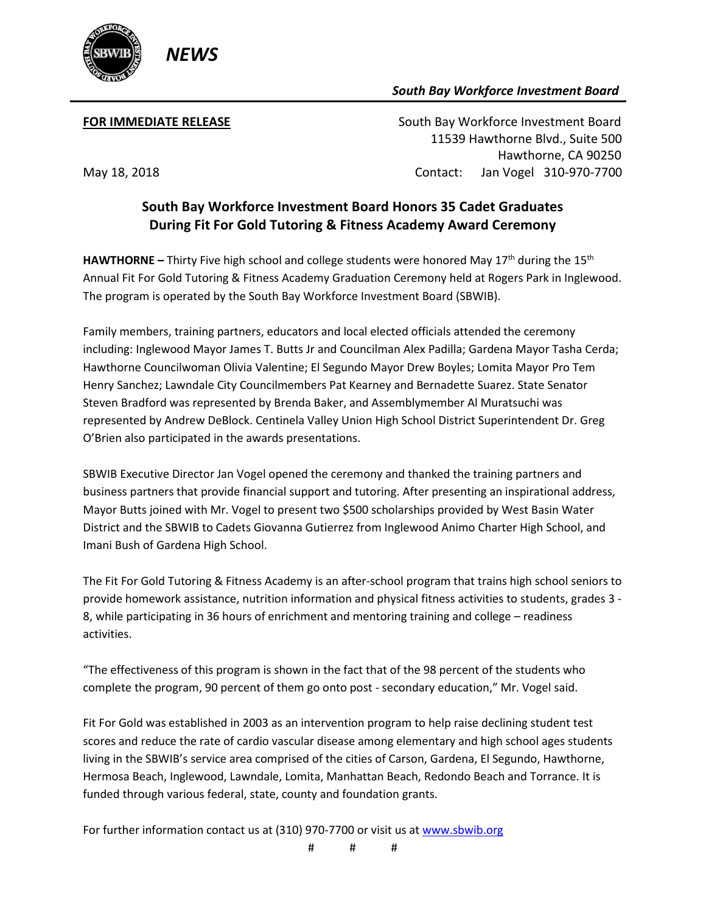

## *South Bay Workforce Investment Board*

**FOR IMMEDIATE RELEASE South Bay Workforce Investment Board**  11539 Hawthorne Blvd., Suite 500 Hawthorne, CA 90250 May 18, 2018 Contact: Jan Vogel 310-970-7700

## **South Bay Workforce Investment Board Honors 35 Cadet Graduates During Fit For Gold Tutoring & Fitness Academy Award Ceremony**

**HAWTHORNE** – Thirty Five high school and college students were honored May 17<sup>th</sup> during the 15<sup>th</sup> Annual Fit For Gold Tutoring & Fitness Academy Graduation Ceremony held at Rogers Park in Inglewood. The program is operated by the South Bay Workforce Investment Board (SBWIB).

Family members, training partners, educators and local elected officials attended the ceremony including: Inglewood Mayor James T. Butts Jr and Councilman Alex Padilla; Gardena Mayor Tasha Cerda; Hawthorne Councilwoman Olivia Valentine; El Segundo Mayor Drew Boyles; Lomita Mayor Pro Tem Henry Sanchez; Lawndale City Councilmembers Pat Kearney and Bernadette Suarez. State Senator Steven Bradford was represented by Brenda Baker, and Assemblymember Al Muratsuchi was represented by Andrew DeBlock. Centinela Valley Union High School District Superintendent Dr. Greg O'Brien also participated in the awards presentations.

SBWIB Executive Director Jan Vogel opened the ceremony and thanked the training partners and business partners that provide financial support and tutoring. After presenting an inspirational address, Mayor Butts joined with Mr. Vogel to present two \$500 scholarships provided by West Basin Water District and the SBWIB to Cadets Giovanna Gutierrez from Inglewood Animo Charter High School, and Imani Bush of Gardena High School.

The Fit For Gold Tutoring & Fitness Academy is an after-school program that trains high school seniors to provide homework assistance, nutrition information and physical fitness activities to students, grades 3 - 8, while participating in 36 hours of enrichment and mentoring training and college – readiness activities.

"The effectiveness of this program is shown in the fact that of the 98 percent of the students who complete the program, 90 percent of them go onto post - secondary education," Mr. Vogel said.

Fit For Gold was established in 2003 as an intervention program to help raise declining student test scores and reduce the rate of cardio vascular disease among elementary and high school ages students living in the SBWIB's service area comprised of the cities of Carson, Gardena, El Segundo, Hawthorne, Hermosa Beach, Inglewood, Lawndale, Lomita, Manhattan Beach, Redondo Beach and Torrance. It is funded through various federal, state, county and foundation grants.

For further information contact us at (310) 970-7700 or visit us a[t www.sbwib.org](http://www.sbwib.org/)

# # #